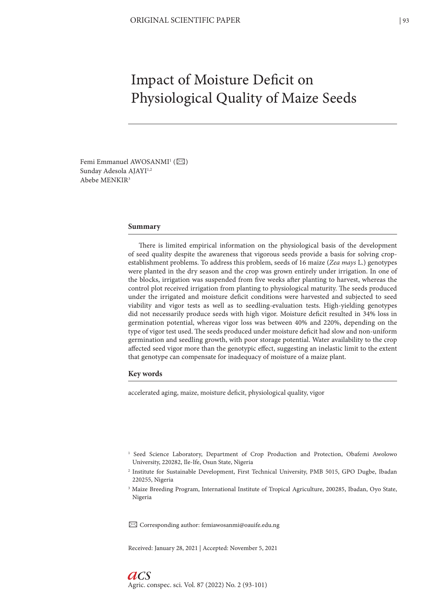# Impact of Moisture Deficit on Physiological Quality of Maize Seeds

Femi Emmanuel AWOSANMI<sup>1</sup> ( $\boxtimes$ ) Sunday Adesola AJAYI<sup>1,2</sup> Abebe MENKIR<sup>3</sup>

#### **Summary**

There is limited empirical information on the physiological basis of the development of seed quality despite the awareness that vigorous seeds provide a basis for solving cropestablishment problems. To address this problem, seeds of 16 maize (*Zea mays* L.) genotypes were planted in the dry season and the crop was grown entirely under irrigation. In one of the blocks, irrigation was suspended from five weeks after planting to harvest, whereas the control plot received irrigation from planting to physiological maturity. The seeds produced under the irrigated and moisture deficit conditions were harvested and subjected to seed viability and vigor tests as well as to seedling-evaluation tests. High-yielding genotypes did not necessarily produce seeds with high vigor. Moisture deficit resulted in 34% loss in germination potential, whereas vigor loss was between 40% and 220%, depending on the type of vigor test used. The seeds produced under moisture deficit had slow and non-uniform germination and seedling growth, with poor storage potential. Water availability to the crop affected seed vigor more than the genotypic effect, suggesting an inelastic limit to the extent that genotype can compensate for inadequacy of moisture of a maize plant.

#### **Key words**

accelerated aging, maize, moisture deficit, physiological quality, vigor

- <sup>1</sup> Seed Science Laboratory, Department of Crop Production and Protection, Obafemi Awolowo University, 220282, Ile-Ife, Osun State, Nigeria
- 2 Institute for Sustainable Development, First Technical University, PMB 5015, GPO Dugbe, Ibadan 220255, Nigeria
- <sup>3</sup> Maize Breeding Program, International Institute of Tropical Agriculture, 200285, Ibadan, Oyo State, Nigeria

✉ Corresponding author: femiawosanmi@oauife.edu.ng

Received: January 28, 2021 | Accepted: November 5, 2021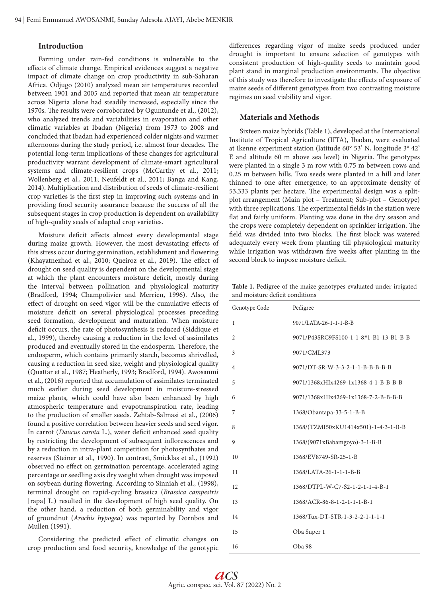## **Introduction**

Farming under rain-fed conditions is vulnerable to the effects of climate change. Empirical evidences suggest a negative impact of climate change on crop productivity in sub-Saharan Africa. Odjugo (2010) analyzed mean air temperatures recorded between 1901 and 2005 and reported that mean air temperature across Nigeria alone had steadily increased, especially since the 1970s. The results were corroborated by Oguntunde et al., (2012), who analyzed trends and variabilities in evaporation and other climatic variables at Ibadan (Nigeria) from 1973 to 2008 and concluded that Ibadan had experienced colder nights and warmer afternoons during the study period, i.e. almost four decades. The potential long-term implications of these changes for agricultural productivity warrant development of climate-smart agricultural systems and climate-resilient crops (McCarthy et al., 2011; Wollenberg et al., 2011; Neufeldt et al., 2011; Banga and Kang, 2014). Multiplication and distribution of seeds of climate-resilient crop varieties is the first step in improving such systems and in providing food security assurance because the success of all the subsequent stages in crop production is dependent on availability of high-quality seeds of adapted crop varieties.

Moisture deficit affects almost every developmental stage during maize growth. However, the most devastating effects of this stress occur during germination, establishment and flowering (Khayatnezhad et al., 2010; Queiroz et al., 2019). The effect of drought on seed quality is dependent on the developmental stage at which the plant encounters moisture deficit, mostly during the interval between pollination and physiological maturity (Bradford, 1994; Champolivier and Merrien, 1996). Also, the effect of drought on seed vigor will be the cumulative effects of moisture deficit on several physiological processes preceding seed formation, development and maturation. When moisture deficit occurs, the rate of photosynthesis is reduced (Siddique et al., 1999), thereby causing a reduction in the level of assimilates produced and eventually stored in the endosperm. Therefore, the endosperm, which contains primarily starch, becomes shrivelled, causing a reduction in seed size, weight and physiological quality (Quattar et al., 1987; Heatherly, 1993; Bradford, 1994). Awosanmi et al., (2016) reported that accumulation of assimilates terminated much earlier during seed development in moisture-stressed maize plants, which could have also been enhanced by high atmospheric temperature and evapotranspiration rate, leading to the production of smaller seeds. Zehtab-Salmasi et al., (2006) found a positive correlation between heavier seeds and seed vigor. In carrot (*Daucus carota* L.), water deficit enhanced seed quality by restricting the development of subsequent inflorescences and by a reduction in intra-plant competition for photosynthates and reserves (Steiner et al., 1990). In contrast, Smicklas et al., (1992) observed no effect on germination percentage, accelerated aging percentage or seedling axis dry weight when drought was imposed on soybean during flowering. According to Sinniah et al., (1998), terminal drought on rapid-cycling brassica (*Brassica campestris* [rapa] L.) resulted in the development of high seed quality. On the other hand, a reduction of both germinability and vigor of groundnut (*Arachis hypogea*) was reported by Dornbos and Mullen (1991).

Considering the predicted effect of climatic changes on crop production and food security, knowledge of the genotypic differences regarding vigor of maize seeds produced under drought is important to ensure selection of genotypes with consistent production of high-quality seeds to maintain good plant stand in marginal production environments. The objective of this study was therefore to investigate the effects of exposure of maize seeds of different genotypes from two contrasting moisture regimes on seed viability and vigor.

# **Materials and Methods**

Sixteen maize hybrids (Table 1), developed at the International Institute of Tropical Agriculture (IITA), Ibadan, were evaluated at Ikenne experiment station (latitude 60° 53' N, longitude 3° 42' E and altitude 60 m above sea level) in Nigeria. The genotypes were planted in a single 3 m row with 0.75 m between rows and 0.25 m between hills. Two seeds were planted in a hill and later thinned to one after emergence, to an approximate density of 53,333 plants per hectare. The experimental design was a splitplot arrangement (Main plot – Treatment; Sub-plot – Genotype) with three replications. The experimental fields in the station were flat and fairly uniform. Planting was done in the dry season and the crops were completely dependent on sprinkler irrigation. The field was divided into two blocks. The first block was watered adequately every week from planting till physiological maturity while irrigation was withdrawn five weeks after planting in the second block to impose moisture deficit.

**Table 1.** Pedigree of the maize genotypes evaluated under irrigated and moisture deficit conditions

| Genotype Code  | Pedigree                                    |
|----------------|---------------------------------------------|
| 1              | 9071/LATA-26-1-1-1-B-B                      |
| $\overline{2}$ | 9071/P43SRC9FS100-1-1-8#1-B1-13-B1-B-B      |
| 3              | 9071/CML373                                 |
| $\overline{4}$ | 9071/DT-SR-W-3-3-2-1-1-B-B-B-B-B            |
| 5              | 9071/1368xHIx4269-1x1368-4-1-B-B-B-B        |
| 6              | 9071/1368xHIx4269-1x1368-7-2-B-B-B-B        |
| 7              | 1368/Obantapa-33-5-1-B-B                    |
| 8              | 1368/(TZMI50xKU1414x501)-1-4-3-1-B-B        |
| 9              | 1368/(9071xBabamgoyo)-3-1-B-B               |
| 10             | 1368/EV8749-SR-25-1-B                       |
| 11             | 1368/LATA-26-1-1-1-B-B                      |
| 12             | 1368/DTPL-W-C7-S2-1-2-1-1-4-B-1             |
| 13             | $1368/ACR - 86 - 8 - 1 - 2 - 1 - 1 - B - 1$ |
| 14             | 1368/Tux-DT-STR-1-3-2-2-1-1-1-1             |
| 15             | Oba Super 1                                 |
| 16             | Oba 98                                      |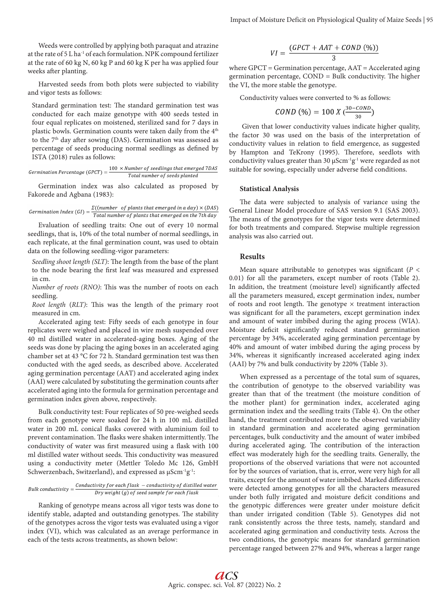Weeds were controlled by applying both paraquat and atrazine at the rate of 5 L ha-1 of each formulation. NPK compound fertilizer at the rate of 60 kg N, 60 kg P and 60 kg K per ha was applied four weeks after planting.

Harvested seeds from both plots were subjected to viability and vigor tests as follows:

Standard germination test: The standard germination test was conducted for each maize genotype with 400 seeds tested in four equal replicates on moistened, sterilized sand for 7 days in plastic bowls. Germination counts were taken daily from the 4<sup>th</sup> to the 7<sup>th</sup> day after sowing (DAS). Germination was assessed as percentage of seeds producing normal seedlings as defined by ISTA (2018) rules as follows:

$$
Germanation \text{ Percentage } (GPT) = \frac{100 \times Number \text{ of seedlings that emerged} \text{7DAS}}{\text{Total number of seeds planted}}
$$

Germination index was also calculated as proposed by Fakorede and Agbana (1983):

Germination Index (GI) =  $\frac{\Sigma((number \ of \ plants \ that \ emerged \ in \ a \ day) \times (DAS)}{Total \ number \ of \ plants \ that \ emerged \ on \ the \ 7th \ day}$ 

Evaluation of seedling traits: One out of every 10 normal seedlings, that is, 10% of the total number of normal seedlings, in each replicate, at the final germination count, was used to obtain data on the following seedling-vigor parameters:

*Seedling shoot length (SLT)*: The length from the base of the plant to the node bearing the first leaf was measured and expressed in cm.

*Number of roots (RNO)*: This was the number of roots on each seedling.

*Root length* (*RLT)*: This was the length of the primary root measured in cm.

Accelerated aging test: Fifty seeds of each genotype in four replicates were weighed and placed in wire mesh suspended over 40 ml distilled water in accelerated-aging boxes. Aging of the seeds was done by placing the aging boxes in an accelerated aging chamber set at 43 °C for 72 h. Standard germination test was then conducted with the aged seeds, as described above. Accelerated aging germination percentage (AAT) and accelerated aging index (AAI) were calculated by substituting the germination counts after accelerated aging into the formula for germination percentage and germination index given above, respectively.

Bulk conductivity test: Four replicates of 50 pre-weighed seeds from each genotype were soaked for 24 h in 100 mL distilled water in 200 mL conical flasks covered with aluminium foil to prevent contamination. The flasks were shaken intermittently. The conductivity of water was first measured using a flask with 100 ml distilled water without seeds. This conductivity was measured using a conductivity meter (Mettler Toledo Mc 126, GmbH Schwerzenbach, Switzerland), and expressed as  $\mu$ Scm<sup>-1</sup>g<sup>-1</sup>:

Bulk conductivity =  $\frac{Conductivity \ for \ each \ flask - conductivity \ of \ distilled \ water}{Drv \ weight \ (a) \ of \ seed \ sample \ for \ each \ flask}$  $Dry$  weight  $(g)$  of seed sample for each flask

Ranking of genotype means across all vigor tests was done to identify stable, adapted and outstanding genotypes. The stability of the genotypes across the vigor tests was evaluated using a vigor index (VI), which was calculated as an average performance in each of the tests across treatments, as shown below:

$$
VI = \frac{(GPCT + AAT + COND \, (*)}{3}
$$

where GPCT = Germination percentage, AAT = Accelerated aging germination percentage, COND = Bulk conductivity. The higher the VI, the more stable the genotype.

Conductivity values were converted to % as follows:

$$
COND (%) = 100 X (\frac{^{30-COND}}{^{30}})
$$

 Given that lower conductivity values indicate higher quality, the factor 30 was used on the basis of the interpretation of conductivity values in relation to field emergence, as suggested by Hampton and TeKrony (1995). Therefore, seedlots with conductivity values greater than 30  $\mu$ Scm<sup>-1</sup>g<sup>-1</sup> were regarded as not suitable for sowing, especially under adverse field conditions.

### **Statistical Analysis**

The data were subjected to analysis of variance using the General Linear Model procedure of SAS version 9.1 (SAS 2003). The means of the genotypes for the vigor tests were determined for both treatments and compared. Stepwise multiple regression analysis was also carried out.

#### **Results**

Mean square attributable to genotypes was significant (*P* < 0.01) for all the parameters, except number of roots (Table 2). In addition, the treatment (moisture level) significantly affected all the parameters measured, except germination index, number of roots and root length. The genotype  $\times$  treatment interaction was significant for all the parameters, except germination index and amount of water imbibed during the aging process (WIA). Moisture deficit significantly reduced standard germination percentage by 34%, accelerated aging germination percentage by 40% and amount of water imbibed during the aging process by 34%, whereas it significantly increased accelerated aging index (AAI) by 7% and bulk conductivity by 220% (Table 3).

When expressed as a percentage of the total sum of squares, the contribution of genotype to the observed variability was greater than that of the treatment (the moisture condition of the mother plant) for germination index, accelerated aging germination index and the seedling traits (Table 4). On the other hand, the treatment contributed more to the observed variability in standard germination and accelerated aging germination percentages, bulk conductivity and the amount of water imbibed during accelerated aging. The contribution of the interaction effect was moderately high for the seedling traits. Generally, the proportions of the observed variations that were not accounted for by the sources of variation, that is, error, were very high for all traits, except for the amount of water imbibed. Marked differences were detected among genotypes for all the characters measured under both fully irrigated and moisture deficit conditions and the genotypic differences were greater under moisture deficit than under irrigated condition (Table 5). Genotypes did not rank consistently across the three tests, namely, standard and accelerated aging germination and conductivity tests. Across the two conditions, the genotypic means for standard germination percentage ranged between 27% and 94%, whereas a larger range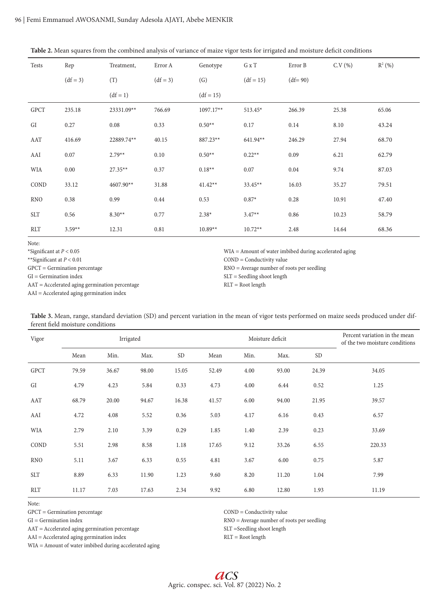| Table 2. Mean squares from the combined analysis of variance of maize vigor tests for irrigated and moisture deficit conditions |  |  |  |  |
|---------------------------------------------------------------------------------------------------------------------------------|--|--|--|--|
|---------------------------------------------------------------------------------------------------------------------------------|--|--|--|--|

| Tests       | Rep        | Treatment, | Error A    | Genotype          | G x T       | Error B    | C.V(%) | $R^2(% )$ |
|-------------|------------|------------|------------|-------------------|-------------|------------|--------|-----------|
|             | $(df = 3)$ | (T)        | $(df = 3)$ | $\left( G\right)$ | $(df = 15)$ | $(df= 90)$ |        |           |
|             |            | $(df = 1)$ |            | $(df = 15)$       |             |            |        |           |
| <b>GPCT</b> | 235.18     | 23331.09** | 766.69     | 1097.17**         | $513.45*$   | 266.39     | 25.38  | 65.06     |
| GI          | 0.27       | 0.08       | 0.33       | $0.50**$          | 0.17        | 0.14       | 8.10   | 43.24     |
| AAT         | 416.69     | 22889.74** | 40.15      | 887.23**          | 641.94**    | 246.29     | 27.94  | 68.70     |
| AAI         | 0.07       | $2.79**$   | 0.10       | $0.50**$          | $0.22**$    | 0.09       | 6.21   | 62.79     |
| <b>WIA</b>  | 0.00       | $27.35**$  | 0.37       | $0.18**$          | 0.07        | 0.04       | 9.74   | 87.03     |
| COND        | 33.12      | 4607.90**  | 31.88      | $41.42**$         | $33.45**$   | 16.03      | 35.27  | 79.51     |
| <b>RNO</b>  | 0.38       | 0.99       | 0.44       | 0.53              | $0.87*$     | 0.28       | 10.91  | 47.40     |
| <b>SLT</b>  | 0.56       | $8.30**$   | 0.77       | $2.38*$           | $3.47**$    | 0.86       | 10.23  | 58.79     |
| <b>RLT</b>  | $3.59**$   | 12.31      | 0.81       | $10.89**$         | $10.72**$   | 2.48       | 14.64  | 68.36     |

Note:

\*Significant at *P* < 0.05

\*\*Significant at *P* < 0.01

GPCT = Germination percentage

GI = Germination index

AAT = Accelerated aging germination percentage

AAI = Accelerated aging germination index

WIA = Amount of water imbibed during accelerated aging

COND = Conductivity value

RNO = Average number of roots per seedling

SLT = Seedling shoot length RLT = Root length

| Accelerated aging germination muex |  |  |  |
|------------------------------------|--|--|--|
|                                    |  |  |  |
|                                    |  |  |  |

| Table 3. Mean, range, standard deviation (SD) and percent variation in the mean of vigor tests performed on maize seeds produced under dif- |  |  |
|---------------------------------------------------------------------------------------------------------------------------------------------|--|--|
| ferent field moisture conditions                                                                                                            |  |  |

| Vigor       | Irrigated<br>Moisture deficit |       |       |           |       |      | Percent variation in the mean<br>of the two moisture conditions |           |        |
|-------------|-------------------------------|-------|-------|-----------|-------|------|-----------------------------------------------------------------|-----------|--------|
|             | Mean                          | Min.  | Max.  | <b>SD</b> | Mean  | Min. | Max.                                                            | <b>SD</b> |        |
| <b>GPCT</b> | 79.59                         | 36.67 | 98.00 | 15.05     | 52.49 | 4.00 | 93.00                                                           | 24.39     | 34.05  |
| GI          | 4.79                          | 4.23  | 5.84  | 0.33      | 4.73  | 4.00 | 6.44                                                            | 0.52      | 1.25   |
| AAT         | 68.79                         | 20.00 | 94.67 | 16.38     | 41.57 | 6.00 | 94.00                                                           | 21.95     | 39.57  |
| AAI         | 4.72                          | 4.08  | 5.52  | 0.36      | 5.03  | 4.17 | 6.16                                                            | 0.43      | 6.57   |
| WIA         | 2.79                          | 2.10  | 3.39  | 0.29      | 1.85  | 1.40 | 2.39                                                            | 0.23      | 33.69  |
| COND        | 5.51                          | 2.98  | 8.58  | 1.18      | 17.65 | 9.12 | 33.26                                                           | 6.55      | 220.33 |
| <b>RNO</b>  | 5.11                          | 3.67  | 6.33  | 0.55      | 4.81  | 3.67 | 6.00                                                            | 0.75      | 5.87   |
| <b>SLT</b>  | 8.89                          | 6.33  | 11.90 | 1.23      | 9.60  | 8.20 | 11.20                                                           | 1.04      | 7.99   |
| <b>RLT</b>  | 11.17                         | 7.03  | 17.63 | 2.34      | 9.92  | 6.80 | 12.80                                                           | 1.93      | 11.19  |

Note:

GPCT = Germination percentage

 $\operatorname{GI} = \operatorname{Germanation}$  index

AAT = Accelerated aging germination percentage

AAI = Accelerated aging germination index

WIA = Amount of water imbibed during accelerated aging

COND = Conductivity value

RNO = Average number of roots per seedling

SLT =Seedling shoot length

RLT = Root length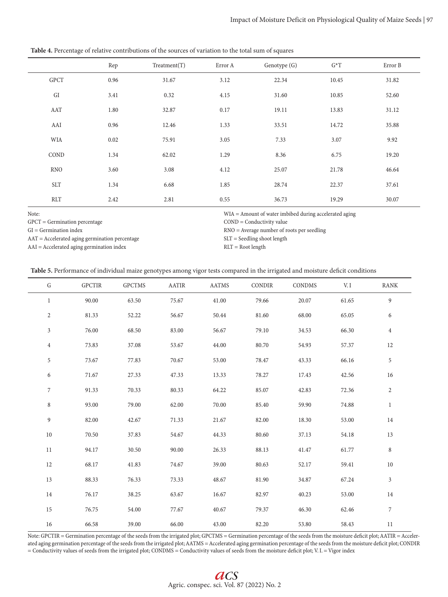**Table 4.** Percentage of relative contributions of the sources of variation to the total sum of squares

|             | Rep  | Treatment(T) | Error A | Genotype (G) | $G^*T$ | Error B |
|-------------|------|--------------|---------|--------------|--------|---------|
| <b>GPCT</b> | 0.96 | 31.67        | 3.12    | 22.34        | 10.45  | 31.82   |
| GI          | 3.41 | 0.32         | 4.15    | 31.60        | 10.85  | 52.60   |
| AAT         | 1.80 | 32.87        | 0.17    | 19.11        | 13.83  | 31.12   |
| AAI         | 0.96 | 12.46        | 1.33    | 33.51        | 14.72  | 35.88   |
| WIA         | 0.02 | 75.91        | 3.05    | 7.33         | 3.07   | 9.92    |
| COND        | 1.34 | 62.02        | 1.29    | 8.36         | 6.75   | 19.20   |
| <b>RNO</b>  | 3.60 | 3.08         | 4.12    | 25.07        | 21.78  | 46.64   |
| <b>SLT</b>  | 1.34 | 6.68         | 1.85    | 28.74        | 22.37  | 37.61   |
| <b>RLT</b>  | 2.42 | 2.81         | 0.55    | 36.73        | 19.29  | 30.07   |

Note:

GPCT = Germination percentage

GI = Germination index

AAT = Accelerated aging germination percentage

AAI = Accelerated aging germination index

WIA = Amount of water imbibed during accelerated aging

COND = Conductivity value

RNO = Average number of roots per seedling

SLT = Seedling shoot length

RLT = Root length

|  |  | Table 5. Performance of individual maize genotypes among vigor tests compared in the irrigated and moisture deficit conditions |
|--|--|--------------------------------------------------------------------------------------------------------------------------------|
|--|--|--------------------------------------------------------------------------------------------------------------------------------|

| ${\bf G}$      | <b>GPCTIR</b> | <b>GPCTMS</b> | <b>AATIR</b> | <b>AATMS</b> | <b>CONDIR</b> | CONDMS | V. I  | RANK             |
|----------------|---------------|---------------|--------------|--------------|---------------|--------|-------|------------------|
| $\mathbf{1}$   | 90.00         | 63.50         | 75.67        | 41.00        | 79.66         | 20.07  | 61.65 | $\boldsymbol{9}$ |
| $\overline{2}$ | 81.33         | 52.22         | 56.67        | 50.44        | 81.60         | 68.00  | 65.05 | 6                |
| $\overline{3}$ | 76.00         | 68.50         | 83.00        | 56.67        | 79.10         | 34.53  | 66.30 | $\overline{4}$   |
| $\overline{4}$ | 73.83         | 37.08         | 53.67        | 44.00        | 80.70         | 54.93  | 57.37 | 12               |
| 5              | 73.67         | 77.83         | 70.67        | 53.00        | 78.47         | 43.33  | 66.16 | $\sqrt{5}$       |
| 6              | 71.67         | 27.33         | 47.33        | 13.33        | 78.27         | 17.43  | 42.56 | 16               |
| 7              | 91.33         | 70.33         | 80.33        | 64.22        | 85.07         | 42.83  | 72.36 | $\sqrt{2}$       |
| $\,8\,$        | 93.00         | 79.00         | 62.00        | 70.00        | 85.40         | 59.90  | 74.88 | $\mathbf{1}$     |
| 9              | 82.00         | 42.67         | 71.33        | 21.67        | 82.00         | 18.30  | 53.00 | 14               |
| 10             | 70.50         | 37.83         | 54.67        | 44.33        | 80.60         | 37.13  | 54.18 | 13               |
| 11             | 94.17         | 30.50         | 90.00        | 26.33        | 88.13         | 41.47  | 61.77 | 8                |
| 12             | 68.17         | 41.83         | 74.67        | 39.00        | 80.63         | 52.17  | 59.41 | $10\,$           |
| 13             | 88.33         | 76.33         | 73.33        | 48.67        | 81.90         | 34.87  | 67.24 | $\mathfrak{Z}$   |
| 14             | 76.17         | 38.25         | 63.67        | 16.67        | 82.97         | 40.23  | 53.00 | 14               |
| 15             | 76.75         | 54.00         | 77.67        | 40.67        | 79.37         | 46.30  | 62.46 | $\boldsymbol{7}$ |
| $16\,$         | 66.58         | 39.00         | 66.00        | 43.00        | 82.20         | 53.80  | 58.43 | $11\,$           |

Note: GPCTIR = Germination percentage of the seeds from the irrigated plot; GPCTMS = Germination percentage of the seeds from the moisture deficit plot; AATIR = Accelerated aging germination percentage of the seeds from the irrigated plot; AATMS = Accelerated aging germination percentage of the seeds from the moisture deficit plot; CONDIR = Conductivity values of seeds from the irrigated plot; CONDMS = Conductivity values of seeds from the moisture deficit plot; V. I. = Vigor index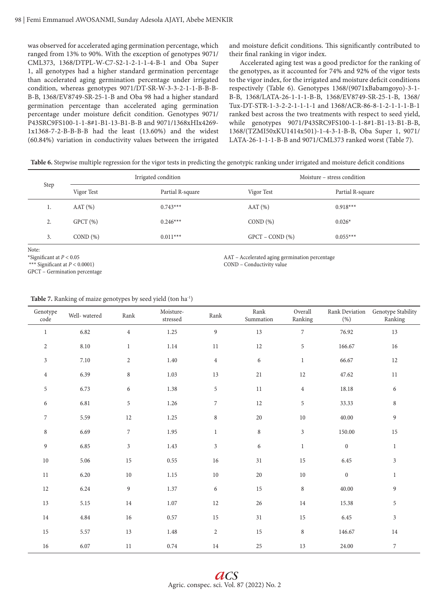was observed for accelerated aging germination percentage, which ranged from 13% to 90%. With the exception of genotypes 9071/ CML373, 1368/DTPL-W-C7-S2-1-2-1-1-4-B-1 and Oba Super 1, all genotypes had a higher standard germination percentage than accelerated aging germination percentage under irrigated condition, whereas genotypes 9071/DT-SR-W-3-3-2-1-1-B-B-B-B-B, 1368/EV8749-SR-25-1-B and Oba 98 had a higher standard germination percentage than accelerated aging germination percentage under moisture deficit condition. Genotypes 9071/ P43SRC9FS100-1-1-8#1-B1-13-B1-B-B and 9071/1368xHIx4269- 1x1368-7-2-B-B-B-B had the least (13.60%) and the widest (60.84%) variation in conductivity values between the irrigated

and moisture deficit conditions. This significantly contributed to their final ranking in vigor index.

Accelerated aging test was a good predictor for the ranking of the genotypes, as it accounted for 74% and 92% of the vigor tests to the vigor index, for the irrigated and moisture deficit conditions respectively (Table 6). Genotypes 1368/(9071xBabamgoyo)-3-1- B-B, 1368/LATA-26-1-1-1-B-B, 1368/EV8749-SR-25-1-B, 1368/ Tux-DT-STR-1-3-2-2-1-1-1-1 and 1368/ACR-86-8-1-2-1-1-1-B-1 ranked best across the two treatments with respect to seed yield, while genotypes 9071/P43SRC9FS100-1-1-8#1-B1-13-B1-B-B, 1368/(TZMI50xKU1414x501)-1-4-3-1-B-B, Oba Super 1, 9071/ LATA-26-1-1-1-B-B and 9071/CML373 ranked worst (Table 7).

**Table 6.** Stepwise multiple regression for the vigor tests in predicting the genotypic ranking under irrigated and moisture deficit conditions

| Step |            | Irrigated condition | Moisture – stress condition |                  |  |
|------|------------|---------------------|-----------------------------|------------------|--|
|      | Vigor Test | Partial R-square    | Vigor Test                  | Partial R-square |  |
| ı.   | AAT(%)     | $0.743***$          | AAT(%)                      | $0.918***$       |  |
| 2.   | $GPCT$ (%) | $0.246***$          | COND(%)                     | $0.026*$         |  |
| 3.   | COND(%)    | $0.011***$          | $GPCT - COND$ (%)           | $0.055***$       |  |

Note:

\*Significant at *P* < 0.05

\*\*\* Significant at *P* < 0.0001)

GPCT – Germination percentage

AAT – Accelerated aging germination percentage COND – Conductivity value

| Genotype<br>code | Well-watered | Rank           | Moisture-<br>$\rm stressed$ | Rank           | $\rm Rank$<br>Summation | Overall<br>Ranking | Rank Deviation<br>(% ) | Genotype Stability<br>Ranking |
|------------------|--------------|----------------|-----------------------------|----------------|-------------------------|--------------------|------------------------|-------------------------------|
| $\mathbf{1}$     | 6.82         | $\overline{4}$ | 1.25                        | 9              | 13                      | $\boldsymbol{7}$   | 76.92                  | $13\,$                        |
| $\sqrt{2}$       | $8.10\,$     | $\mathbf{1}$   | $1.14\,$                    | $11\,$         | $12\,$                  | $\sqrt{5}$         | 166.67                 | 16                            |
| $\mathfrak{Z}$   | 7.10         | $\overline{2}$ | $1.40\,$                    | $\overline{4}$ | 6                       | $\mathbf{1}$       | 66.67                  | $12\,$                        |
| $\,4\,$          | 6.39         | $\,8\,$        | 1.03                        | 13             | $21\,$                  | $12\,$             | 47.62                  | $11\,$                        |
| $\mathbf 5$      | 6.73         | 6              | 1.38                        | 5              | $11\,$                  | $\overline{4}$     | 18.18                  | 6                             |
| 6                | 6.81         | 5              | $1.26\,$                    | $\overline{7}$ | $12\,$                  | $\,$ 5 $\,$        | 33.33                  | $\,8\,$                       |
| $\boldsymbol{7}$ | 5.59         | $12\,$         | $1.25\,$                    | $\,8\,$        | $20\,$                  | $10\,$             | 40.00                  | $\overline{9}$                |
| 8                | 6.69         | $\overline{7}$ | 1.95                        | $\mathbf{1}$   | $\,8\,$                 | $\mathfrak{Z}$     | 150.00                 | 15                            |
| $\overline{9}$   | 6.85         | $\mathfrak{Z}$ | 1.43                        | $\mathfrak{Z}$ | 6                       | $\mathbf{1}$       | $\mathbf{0}$           | $\mathbf{1}$                  |
| $10\,$           | 5.06         | 15             | $0.55\,$                    | $16\,$         | $31\,$                  | 15                 | 6.45                   | 3                             |
| 11               | 6.20         | $10\,$         | $1.15\,$                    | $10\,$         | $20\,$                  | $10\,$             | $\boldsymbol{0}$       | $\mathbf{1}$                  |
| 12               | 6.24         | $\overline{9}$ | $1.37\,$                    | 6              | $15\,$                  | $\,8\,$            | 40.00                  | $\overline{9}$                |
| 13               | 5.15         | $14\,$         | $1.07\,$                    | $12\,$         | $26\,$                  | 14                 | 15.38                  | 5                             |
| 14               | 4.84         | $16\,$         | $0.57\,$                    | 15             | 31                      | 15                 | 6.45                   | $\mathfrak{Z}$                |
| 15               | 5.57         | 13             | $1.48\,$                    | $\overline{c}$ | $15\,$                  | $\,8\,$            | 146.67                 | $14\,$                        |
| 16               | 6.07         | 11             | 0.74                        | 14             | 25                      | 13                 | 24.00                  | $\boldsymbol{7}$              |

**Table 7.** Ranking of maize genotypes by seed yield (ton ha-1)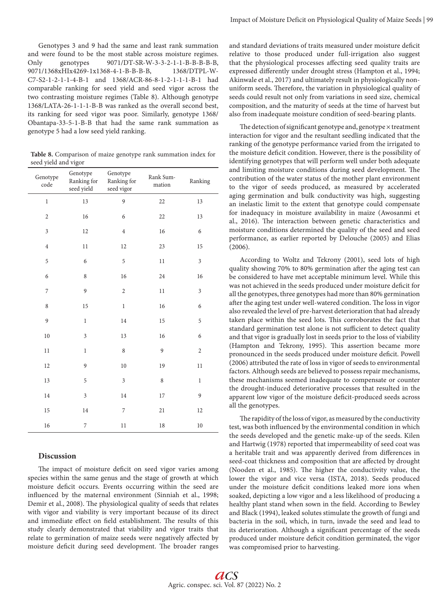Genotypes 3 and 9 had the same and least rank summation and were found to be the most stable across moisture regimes. Only genotypes 9071/DT-SR-W-3-3-2-1-1-B-B-B-B-B, 9071/1368xHIx4269-1x1368-4-1-B-B-B-B, 1368/DTPL-W-C7-S2-1-2-1-1-4-B-1 and 1368/ACR-86-8-1-2-1-1-1-B-1 had comparable ranking for seed yield and seed vigor across the two contrasting moisture regimes (Table 8). Although genotype 1368/LATA-26-1-1-1-B-B was ranked as the overall second best, its ranking for seed vigor was poor. Similarly, genotype 1368/ Obantapa-33-5-1-B-B that had the same rank summation as genotype 5 had a low seed yield ranking.

**Table 8.** Comparison of maize genotype rank summation index for seed yield and vigor

| Genotype<br>code | Genotype<br>Ranking for<br>seed yield | Genotype<br>Ranking for<br>seed vigor | Rank Sum-<br>mation | Ranking        |
|------------------|---------------------------------------|---------------------------------------|---------------------|----------------|
| $\,1$            | 13                                    | 9                                     | 22                  | 13             |
| $\overline{c}$   | 16                                    | 6                                     | 22                  | 13             |
| 3                | 12                                    | $\overline{4}$                        | 16                  | 6              |
| $\overline{4}$   | 11                                    | 12                                    | 23                  | 15             |
| 5                | 6                                     | 5                                     | 11                  | 3              |
| 6                | 8                                     | 16                                    | 24                  | 16             |
| 7                | 9                                     | $\overline{c}$                        | $11\,$              | $\mathfrak{Z}$ |
| 8                | 15                                    | $\,1$                                 | 16                  | 6              |
| 9                | $\,1$                                 | 14                                    | 15                  | 5              |
| 10               | $\mathfrak{Z}$                        | 13                                    | 16                  | 6              |
| 11               | $\,1$                                 | 8                                     | 9                   | $\sqrt{2}$     |
| 12               | 9                                     | 10                                    | 19                  | 11             |
| 13               | 5                                     | 3                                     | 8                   | $\mathbf{1}$   |
| 14               | 3                                     | 14                                    | 17                  | 9              |
| 15               | 14                                    | 7                                     | 21                  | 12             |
| 16               | 7                                     | 11                                    | 18                  | 10             |

# **Discussion**

The impact of moisture deficit on seed vigor varies among species within the same genus and the stage of growth at which moisture deficit occurs. Events occurring within the seed are influenced by the maternal environment (Sinniah et al., 1998; Demir et al., 2008). The physiological quality of seeds that relates with vigor and viability is very important because of its direct and immediate effect on field establishment. The results of this study clearly demonstrated that viability and vigor traits that relate to germination of maize seeds were negatively affected by moisture deficit during seed development. The broader ranges and standard deviations of traits measured under moisture deficit relative to those produced under full-irrigation also suggest that the physiological processes affecting seed quality traits are expressed differently under drought stress (Hampton et al., 1994; Akinwale et al., 2017) and ultimately result in physiologically nonuniform seeds. Therefore, the variation in physiological quality of seeds could result not only from variations in seed size, chemical composition, and the maturity of seeds at the time of harvest but also from inadequate moisture condition of seed-bearing plants.

The detection of significant genotype and, genotype  $\times$  treatment interaction for vigor and the resultant seedling indicated that the ranking of the genotype performance varied from the irrigated to the moisture deficit condition. However, there is the possibility of identifying genotypes that will perform well under both adequate and limiting moisture conditions during seed development. The contribution of the water status of the mother plant environment to the vigor of seeds produced, as measured by accelerated aging germination and bulk conductivity was high, suggesting an inelastic limit to the extent that genotype could compensate for inadequacy in moisture availability in maize (Awosanmi et al., 2016). The interaction between genetic characteristics and moisture conditions determined the quality of the seed and seed performance, as earlier reported by Delouche (2005) and Elias (2006).

According to Woltz and Tekrony (2001), seed lots of high quality showing 70% to 80% germination after the aging test can be considered to have met acceptable minimum level. While this was not achieved in the seeds produced under moisture deficit for all the genotypes, three genotypes had more than 80% germination after the aging test under well-watered condition. The loss in vigor also revealed the level of pre-harvest deterioration that had already taken place within the seed lots. This corroborates the fact that standard germination test alone is not sufficient to detect quality and that vigor is gradually lost in seeds prior to the loss of viability (Hampton and Tekrony, 1995). This assertion became more pronounced in the seeds produced under moisture deficit. Powell (2006) attributed the rate of loss in vigor of seeds to environmental factors. Although seeds are believed to possess repair mechanisms, these mechanisms seemed inadequate to compensate or counter the drought-induced deteriorative processes that resulted in the apparent low vigor of the moisture deficit-produced seeds across all the genotypes.

The rapidity of the loss of vigor, as measured by the conductivity test, was both influenced by the environmental condition in which the seeds developed and the genetic make-up of the seeds. Kilen and Hartwig (1978) reported that impermeability of seed coat was a heritable trait and was apparently derived from differences in seed-coat thickness and composition that are affected by drought (Nooden et al., 1985). The higher the conductivity value, the lower the vigor and vice versa (ISTA, 2018). Seeds produced under the moisture deficit conditions leaked more ions when soaked, depicting a low vigor and a less likelihood of producing a healthy plant stand when sown in the field. According to Bewley and Black (1994), leaked solutes stimulate the growth of fungi and bacteria in the soil, which, in turn, invade the seed and lead to its deterioration. Although a significant percentage of the seeds produced under moisture deficit condition germinated, the vigor was compromised prior to harvesting.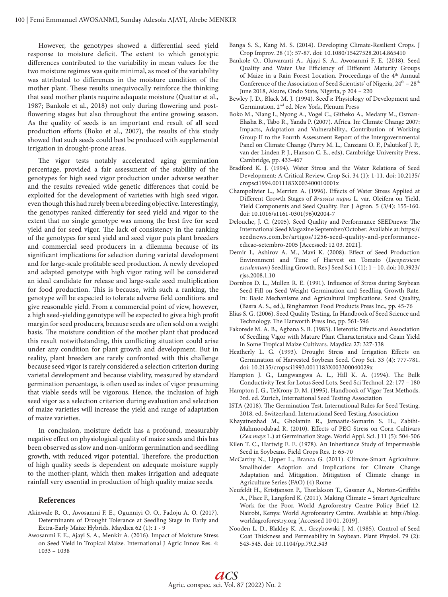However, the genotypes showed a differential seed yield response to moisture deficit. The extent to which genotypic differences contributed to the variability in mean values for the two moisture regimes was quite minimal, as most of the variability was attributed to differences in the moisture condition of the mother plant. These results unequivocally reinforce the thinking that seed mother plants require adequate moisture (Quattar et al., 1987; Bankole et al., 2018) not only during flowering and postflowering stages but also throughout the entire growing season. As the quality of seeds is an important end result of all seed production efforts (Boko et al., 2007), the results of this study showed that such seeds could best be produced with supplemental irrigation in drought-prone areas.

The vigor tests notably accelerated aging germination percentage, provided a fair assessment of the stability of the genotypes for high seed vigor production under adverse weather and the results revealed wide genetic differences that could be exploited for the development of varieties with high seed vigor, even though this had rarely been a breeding objective. Interestingly, the genotypes ranked differently for seed yield and vigor to the extent that no single genotype was among the best five for seed yield and for seed vigor. The lack of consistency in the ranking of the genotypes for seed yield and seed vigor puts plant breeders and commercial seed producers in a dilemma because of its significant implications for selection during varietal development and for large-scale profitable seed production. A newly developed and adapted genotype with high vigor rating will be considered an ideal candidate for release and large-scale seed multiplication for food production. This is because, with such a ranking, the genotype will be expected to tolerate adverse field conditions and give reasonable yield. From a commercial point of view, however, a high seed-yielding genotype will be expected to give a high profit margin for seed producers, because seeds are often sold on a weight basis. The moisture condition of the mother plant that produced this result notwithstanding, this conflicting situation could arise under any condition for plant growth and development. But in reality, plant breeders are rarely confronted with this challenge because seed vigor is rarely considered a selection criterion during varietal development and because viability, measured by standard germination percentage, is often used as index of vigor presuming that viable seeds will be vigorous. Hence, the inclusion of high seed vigor as a selection criterion during evaluation and selection of maize varieties will increase the yield and range of adaptation of maize varieties.

In conclusion, moisture deficit has a profound, measurably negative effect on physiological quality of maize seeds and this has been observed as slow and non-uniform germination and seedling growth, with reduced vigor potential. Therefore, the production of high quality seeds is dependent on adequate moisture supply to the mother-plant, which then makes irrigation and adequate rainfall very essential in production of high quality maize seeds.

## **References**

- Akinwale R. O., Awosanmi F. E., Ogunniyi O. O., Fadoju A. O. (2017). Determinants of Drought Tolerance at Seedling Stage in Early and Extra-Early Maize Hybrids. Maydica 62 (1): 1 - 9
- Awosanmi F. E., Ajayi S. A., Menkir A. (2016). Impact of Moisture Stress on Seed Yield in Tropical Maize. International J Agric Innov Res. 4: 1033 – 1038
- Banga S. S., Kang M. S. (2014). Developing Climate-Resilient Crops. J Crop Improv. 28 (1): 57-87. doi: 10.1080/15427528.2014.865410
- Bankole O., Oluwaranti A., Ajayi S. A., Awosanmi F. E. (2018). Seed Quality and Water Use Efficiency of Different Maturity Groups of Maize in a Rain Forest Location. Proceedings of the 4<sup>th</sup> Annual Conference of the Association of Seed Scientists' of Nigeria,  $24<sup>th</sup> - 28<sup>th</sup>$ June 2018, Akure, Ondo State, Nigeria, p 204 – 220
- Bewley J. D., Black M. J. (1994). Seed's: Physiology of Development and Germination. 2nd ed. New York, Plenum Press
- Boko M., Niang I., Nyong A., Vogel C., Githeko A., Medany M., Osman-Elasha B., Tabo R., Yanda P. (2007). Africa. In: Climate Change 2007: Impacts, Adaptation and Vulnerability., Contribution of Working Group II to the Fourth Assessment Report of the Intergovernmental Panel on Climate Change (Parry M. L., Canziani O. F., Palutikof J. P., van der Linden P. J., Hanson C. E., eds), Cambridge University Press, Cambridge, pp. 433-467
- Bradford K. J. (1994). Water Stress and the Water Relations of Seed Development: A Critical Review. Crop Sci. 34 (1): 1-11. doi: 10.2135/ cropsci1994.0011183X003400010001x
- Champolivier L., Merrien A. (1996). Effects of Water Stress Applied at Different Growth Stages of *Brassica napus* L. var. Oleifera on Yield, Yield Components and Seed Quality. Eur J Agron. 5 (3/4): 155-160. doi: 10.1016/s1161-0301(96)02004-7
- Delouche, J. C. (2005). Seed Quality and Performance SEEDnews: The International Seed Magazine September/October. Available at: https:// seednews.com.br/artigos/1256-seed-quality-and-performanceedicao-setembro-2005 [Accessed: 12 03. 2021].
- Demir I., Ashirov A. M., Mavi K. (2008). Effect of Seed Production Environment and Time of Harvest on Tomato (*Lycopersicon esculentum*) Seedling Growth. Res J Seed Sci 1 (1): 1 – 10. doi: 10.3923/ rjss.2008.1.10
- Dornbos D. L., Mullen R. E. (1991). Influence of Stress during Soybean Seed Fill on Seed Weight Germination and Seedling Growth Rate. In: Basic Mechanisms and Agricultural Implications. Seed Quality, (Basra A. S., ed.), Binghamton Food Products Press Inc., pp. 45-76
- Elias S. G. (2006). Seed Quality Testing. In Handbook of Seed Science and Technology. The Harworth Press Inc, pp. 561-596
- Fakorede M. A. B., Agbana S. B. (1983). Heterotic Effects and Association of Seedling Vigor with Mature Plant Characteristics and Grain Yield in Some Tropical Maize Cultivars. Maydica 27: 327-338
- Heatherly L. G. (1993). Drought Stress and Irrigation Effects on Germination of Harvested Soybean Seed. Crop Sci. 33 (4): 777-781. doi: 10.2135/cropsci1993.0011183X003300040029x
- Hampton J. G., Lungwangwa A. L., Hill K. A. (1994). The Bulk Conductivity Test for Lotus Seed Lots. Seed Sci Technol. 22: 177 – 180
- Hampton J. G., TeKrony D. M. (1995). Handbook of Vigor Test Methods. 3rd. ed. Zurich, International Seed Testing Association
- ISTA (2018). The Germination Test. International Rules for Seed Testing. 2018. ed. Switzerland, International Seed Testing Association
- Khayatnezhad M., Gholamin R., Jamaatie-Somarin S. H., Zabihi-Mahmoodabad R. (2010). Effects of PEG Stress on Corn Cultivars (*Zea mays* L.) at Germination Stage. World Appl. Sci. J 11 (5): 504-506
- Kilen T. C., Hartwig E. E. (1978). An Inheritance Study of Impermeable Seed in Soybeans. Field Crops Res. 1: 65-70
- McCarthy N., Lipper L., Branca G. (2011). Climate-Smart Agriculture: Smallholder Adoption and Implications for Climate Change Adaptation and Mitigation. Mitigation of Climate change in Agriculture Series (FAO) (4) Rome
- Neufeldt H., Kristjanson P., Thorlakson T., Gassner A., Norton-Griffiths A., Place F., Langford K. (2011). Making Climate – Smart Agriculture Work for the Poor. World Agroforestry Centre Policy Brief 12. Nairobi, Kenya: World Agroforestry Centre. Available at: http://blog. worldagroforestry.org [Accessed 10 01. 2019].
- Nooden L. D., Blakley K. A., Grzybowski J. M. (1985). Control of Seed Coat Thickness and Permeability in Soybean. Plant Physiol. 79 (2): 543-545. doi: 10.1104/pp.79.2.543